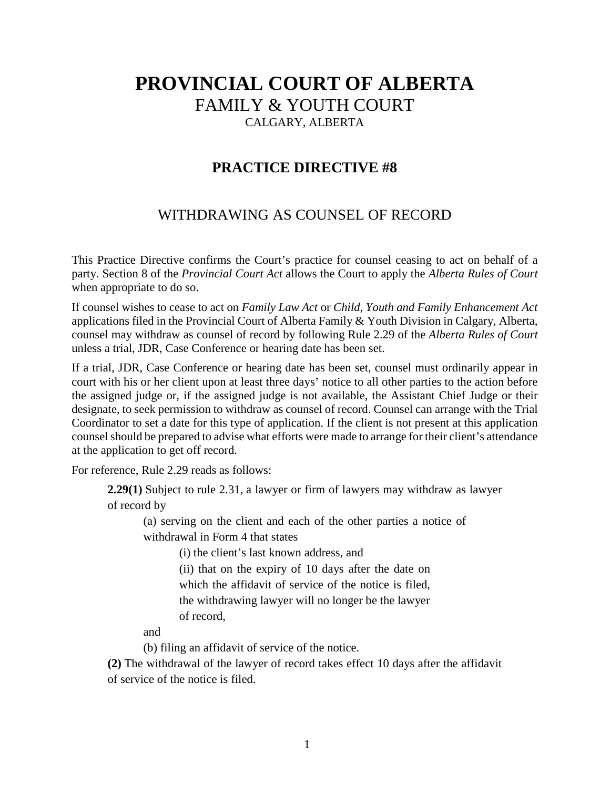## **PROVINCIAL COURT OF ALBERTA** FAMILY & YOUTH COURT CALGARY, ALBERTA

## **PRACTICE DIRECTIVE #8**

## WITHDRAWING AS COUNSEL OF RECORD

This Practice Directive confirms the Court's practice for counsel ceasing to act on behalf of a party. Section 8 of the *Provincial Court Act* allows the Court to apply the *Alberta Rules of Court* when appropriate to do so.

If counsel wishes to cease to act on *Family Law Act* or *Child, Youth and Family Enhancement Act*  applications filed in the Provincial Court of Alberta Family & Youth Division in Calgary, Alberta, counsel may withdraw as counsel of record by following Rule 2.29 of the *Alberta Rules of Court* unless a trial, JDR, Case Conference or hearing date has been set.

If a trial, JDR, Case Conference or hearing date has been set, counsel must ordinarily appear in court with his or her client upon at least three days' notice to all other parties to the action before the assigned judge or, if the assigned judge is not available, the Assistant Chief Judge or their designate, to seek permission to withdraw as counsel of record. Counsel can arrange with the Trial Coordinator to set a date for this type of application. If the client is not present at this application counsel should be prepared to advise what efforts were made to arrange for their client's attendance at the application to get off record.

For reference, Rule 2.29 reads as follows:

**2.29(1)** Subject to rule 2.31, a lawyer or firm of lawyers may withdraw as lawyer of record by

(a) serving on the client and each of the other parties a notice of withdrawal in Form 4 that states

(i) the client's last known address, and

(ii) that on the expiry of 10 days after the date on which the affidavit of service of the notice is filed, the withdrawing lawyer will no longer be the lawyer of record,

and

(b) filing an affidavit of service of the notice.

**(2)** The withdrawal of the lawyer of record takes effect 10 days after the affidavit of service of the notice is filed.